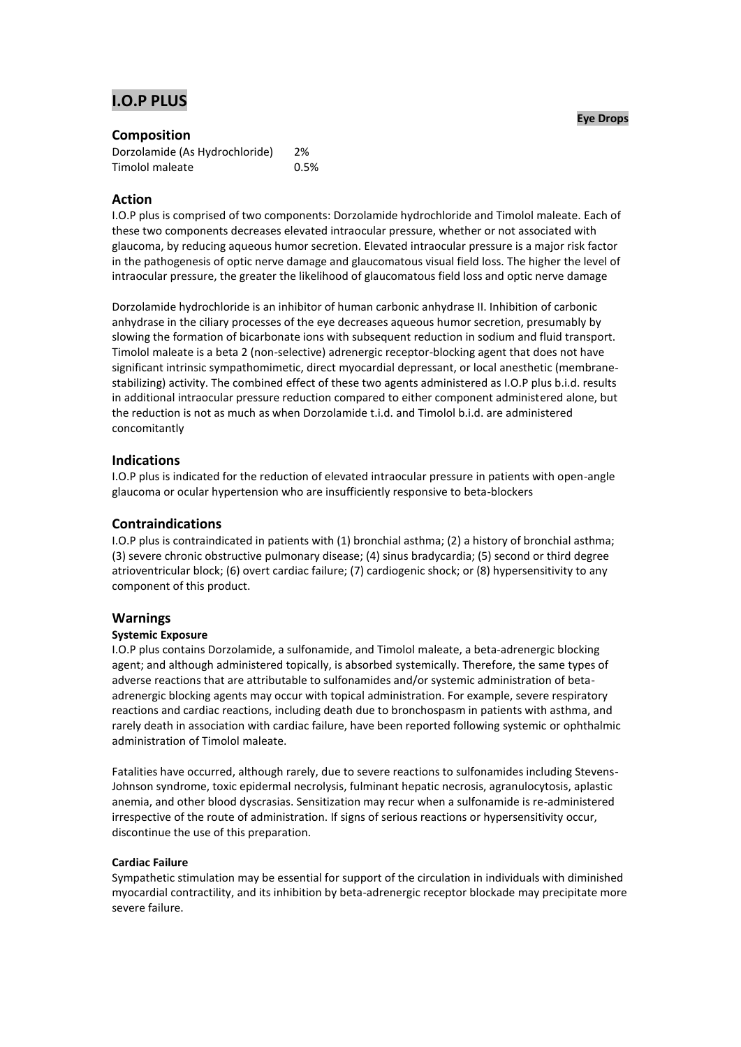# **I.O.P PLUS**

# **Composition**

| Dorzolamide (As Hydrochloride) | 2%   |
|--------------------------------|------|
| Timolol maleate                | 0.5% |

# **Action**

I.O.P plus is comprised of two components: Dorzolamide hydrochloride and Timolol maleate. Each of these two components decreases elevated intraocular pressure, whether or not associated with glaucoma, by reducing aqueous humor secretion. Elevated intraocular pressure is a major risk factor in the pathogenesis of optic nerve damage and glaucomatous visual field loss. The higher the level of intraocular pressure, the greater the likelihood of glaucomatous field loss and optic nerve damage

Dorzolamide hydrochloride is an inhibitor of human carbonic anhydrase II. Inhibition of carbonic anhydrase in the ciliary processes of the eye decreases aqueous humor secretion, presumably by slowing the formation of bicarbonate ions with subsequent reduction in sodium and fluid transport. Timolol maleate is a beta 2 (non-selective) adrenergic receptor-blocking agent that does not have significant intrinsic sympathomimetic, direct myocardial depressant, or local anesthetic (membranestabilizing) activity. The combined effect of these two agents administered as I.O.P plus b.i.d. results in additional intraocular pressure reduction compared to either component administered alone, but the reduction is not as much as when Dorzolamide t.i.d. and Timolol b.i.d. are administered concomitantly

# **Indications**

I.O.P plus is indicated for the reduction of elevated intraocular pressure in patients with open-angle glaucoma or ocular hypertension who are insufficiently responsive to beta-blockers

# **Contraindications**

I.O.P plus is contraindicated in patients with (1) bronchial asthma; (2) a history of bronchial asthma; (3) severe chronic obstructive pulmonary disease; (4) sinus bradycardia; (5) second or third degree atrioventricular block; (6) overt cardiac failure; (7) cardiogenic shock; or (8) hypersensitivity to any component of this product.

# **Warnings**

# **Systemic Exposure**

I.O.P plus contains Dorzolamide, a sulfonamide, and Timolol maleate, a beta-adrenergic blocking agent; and although administered topically, is absorbed systemically. Therefore, the same types of adverse reactions that are attributable to sulfonamides and/or systemic administration of betaadrenergic blocking agents may occur with topical administration. For example, severe respiratory reactions and cardiac reactions, including death due to bronchospasm in patients with asthma, and rarely death in association with cardiac failure, have been reported following systemic or ophthalmic administration of Timolol maleate.

Fatalities have occurred, although rarely, due to severe reactions to sulfonamides including Stevens-Johnson syndrome, toxic epidermal necrolysis, fulminant hepatic necrosis, agranulocytosis, aplastic anemia, and other blood dyscrasias. Sensitization may recur when a sulfonamide is re-administered irrespective of the route of administration. If signs of serious reactions or hypersensitivity occur, discontinue the use of this preparation.

# **Cardiac Failure**

Sympathetic stimulation may be essential for support of the circulation in individuals with diminished myocardial contractility, and its inhibition by beta-adrenergic receptor blockade may precipitate more severe failure.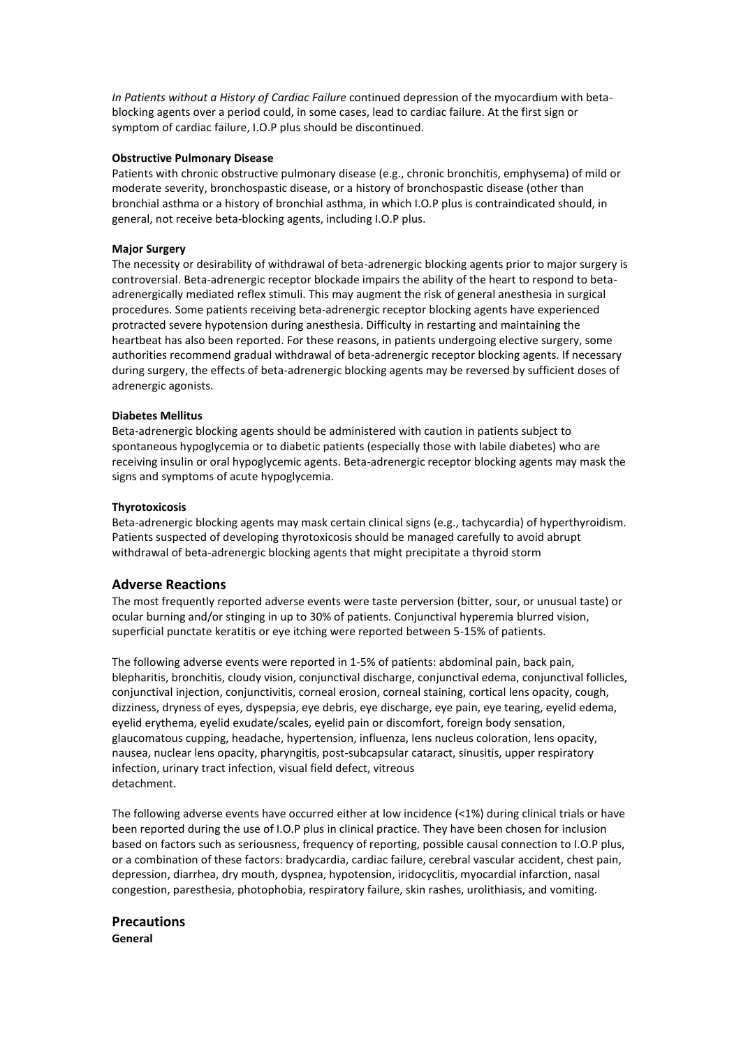*In Patients without a History of Cardiac Failure* continued depression of the myocardium with betablocking agents over a period could, in some cases, lead to cardiac failure. At the first sign or symptom of cardiac failure, I.O.P plus should be discontinued.

#### **Obstructive Pulmonary Disease**

Patients with chronic obstructive pulmonary disease (e.g., chronic bronchitis, emphysema) of mild or moderate severity, bronchospastic disease, or a history of bronchospastic disease (other than bronchial asthma or a history of bronchial asthma, in which I.O.P plus is contraindicated should, in general, not receive beta-blocking agents, including I.O.P plus.

# **Major Surgery**

The necessity or desirability of withdrawal of beta-adrenergic blocking agents prior to major surgery is controversial. Beta-adrenergic receptor blockade impairs the ability of the heart to respond to betaadrenergically mediated reflex stimuli. This may augment the risk of general anesthesia in surgical procedures. Some patients receiving beta-adrenergic receptor blocking agents have experienced protracted severe hypotension during anesthesia. Difficulty in restarting and maintaining the heartbeat has also been reported. For these reasons, in patients undergoing elective surgery, some authorities recommend gradual withdrawal of beta-adrenergic receptor blocking agents. If necessary during surgery, the effects of beta-adrenergic blocking agents may be reversed by sufficient doses of adrenergic agonists.

# **Diabetes Mellitus**

Beta-adrenergic blocking agents should be administered with caution in patients subject to spontaneous hypoglycemia or to diabetic patients (especially those with labile diabetes) who are receiving insulin or oral hypoglycemic agents. Beta-adrenergic receptor blocking agents may mask the signs and symptoms of acute hypoglycemia.

# **Thyrotoxicosis**

Beta-adrenergic blocking agents may mask certain clinical signs (e.g., tachycardia) of hyperthyroidism. Patients suspected of developing thyrotoxicosis should be managed carefully to avoid abrupt withdrawal of beta-adrenergic blocking agents that might precipitate a thyroid storm

# **Adverse Reactions**

The most frequently reported adverse events were taste perversion (bitter, sour, or unusual taste) or ocular burning and/or stinging in up to 30% of patients. Conjunctival hyperemia blurred vision, superficial punctate keratitis or eye itching were reported between 5-15% of patients.

The following adverse events were reported in 1-5% of patients: abdominal pain, back pain, blepharitis, bronchitis, cloudy vision, conjunctival discharge, conjunctival edema, conjunctival follicles, conjunctival injection, conjunctivitis, corneal erosion, corneal staining, cortical lens opacity, cough, dizziness, dryness of eyes, dyspepsia, eye debris, eye discharge, eye pain, eye tearing, eyelid edema, eyelid erythema, eyelid exudate/scales, eyelid pain or discomfort, foreign body sensation, glaucomatous cupping, headache, hypertension, influenza, lens nucleus coloration, lens opacity, nausea, nuclear lens opacity, pharyngitis, post-subcapsular cataract, sinusitis, upper respiratory infection, urinary tract infection, visual field defect, vitreous detachment.

The following adverse events have occurred either at low incidence (<1%) during clinical trials or have been reported during the use of I.O.P plus in clinical practice. They have been chosen for inclusion based on factors such as seriousness, frequency of reporting, possible causal connection to I.O.P plus, or a combination of these factors: bradycardia, cardiac failure, cerebral vascular accident, chest pain, depression, diarrhea, dry mouth, dyspnea, hypotension, iridocyclitis, myocardial infarction, nasal congestion, paresthesia, photophobia, respiratory failure, skin rashes, urolithiasis, and vomiting.

# **Precautions General**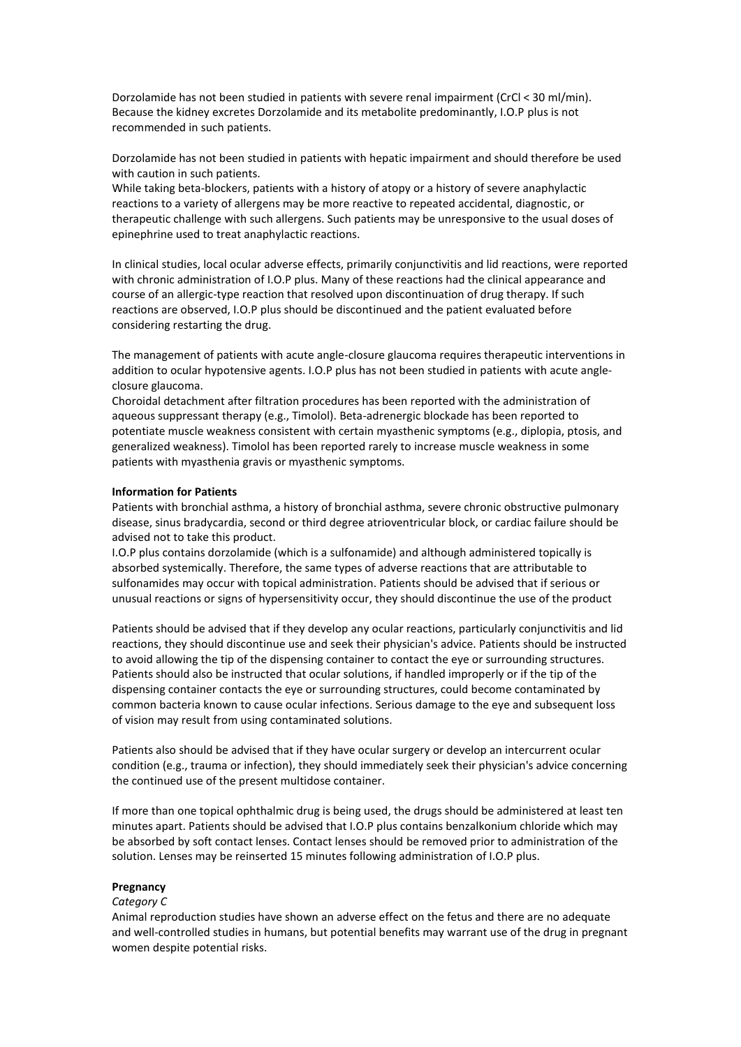Dorzolamide has not been studied in patients with severe renal impairment (CrCl < 30 ml/min). Because the kidney excretes Dorzolamide and its metabolite predominantly, I.O.P plus is not recommended in such patients.

Dorzolamide has not been studied in patients with hepatic impairment and should therefore be used with caution in such patients.

While taking beta-blockers, patients with a history of atopy or a history of severe anaphylactic reactions to a variety of allergens may be more reactive to repeated accidental, diagnostic, or therapeutic challenge with such allergens. Such patients may be unresponsive to the usual doses of epinephrine used to treat anaphylactic reactions.

In clinical studies, local ocular adverse effects, primarily conjunctivitis and lid reactions, were reported with chronic administration of I.O.P plus. Many of these reactions had the clinical appearance and course of an allergic-type reaction that resolved upon discontinuation of drug therapy. If such reactions are observed, I.O.P plus should be discontinued and the patient evaluated before considering restarting the drug.

The management of patients with acute angle-closure glaucoma requires therapeutic interventions in addition to ocular hypotensive agents. I.O.P plus has not been studied in patients with acute angleclosure glaucoma.

Choroidal detachment after filtration procedures has been reported with the administration of aqueous suppressant therapy (e.g., Timolol). Beta-adrenergic blockade has been reported to potentiate muscle weakness consistent with certain myasthenic symptoms (e.g., diplopia, ptosis, and generalized weakness). Timolol has been reported rarely to increase muscle weakness in some patients with myasthenia gravis or myasthenic symptoms.

#### **Information for Patients**

Patients with bronchial asthma, a history of bronchial asthma, severe chronic obstructive pulmonary disease, sinus bradycardia, second or third degree atrioventricular block, or cardiac failure should be advised not to take this product.

I.O.P plus contains dorzolamide (which is a sulfonamide) and although administered topically is absorbed systemically. Therefore, the same types of adverse reactions that are attributable to sulfonamides may occur with topical administration. Patients should be advised that if serious or unusual reactions or signs of hypersensitivity occur, they should discontinue the use of the product

Patients should be advised that if they develop any ocular reactions, particularly conjunctivitis and lid reactions, they should discontinue use and seek their physician's advice. Patients should be instructed to avoid allowing the tip of the dispensing container to contact the eye or surrounding structures. Patients should also be instructed that ocular solutions, if handled improperly or if the tip of the dispensing container contacts the eye or surrounding structures, could become contaminated by common bacteria known to cause ocular infections. Serious damage to the eye and subsequent loss of vision may result from using contaminated solutions.

Patients also should be advised that if they have ocular surgery or develop an intercurrent ocular condition (e.g., trauma or infection), they should immediately seek their physician's advice concerning the continued use of the present multidose container.

If more than one topical ophthalmic drug is being used, the drugs should be administered at least ten minutes apart. Patients should be advised that I.O.P plus contains benzalkonium chloride which may be absorbed by soft contact lenses. Contact lenses should be removed prior to administration of the solution. Lenses may be reinserted 15 minutes following administration of I.O.P plus.

#### **Pregnancy**

#### *Category C*

Animal reproduction studies have shown an adverse effect on the fetus and there are no adequate and well-controlled studies in humans, but potential benefits may warrant use of the drug in pregnant women despite potential risks.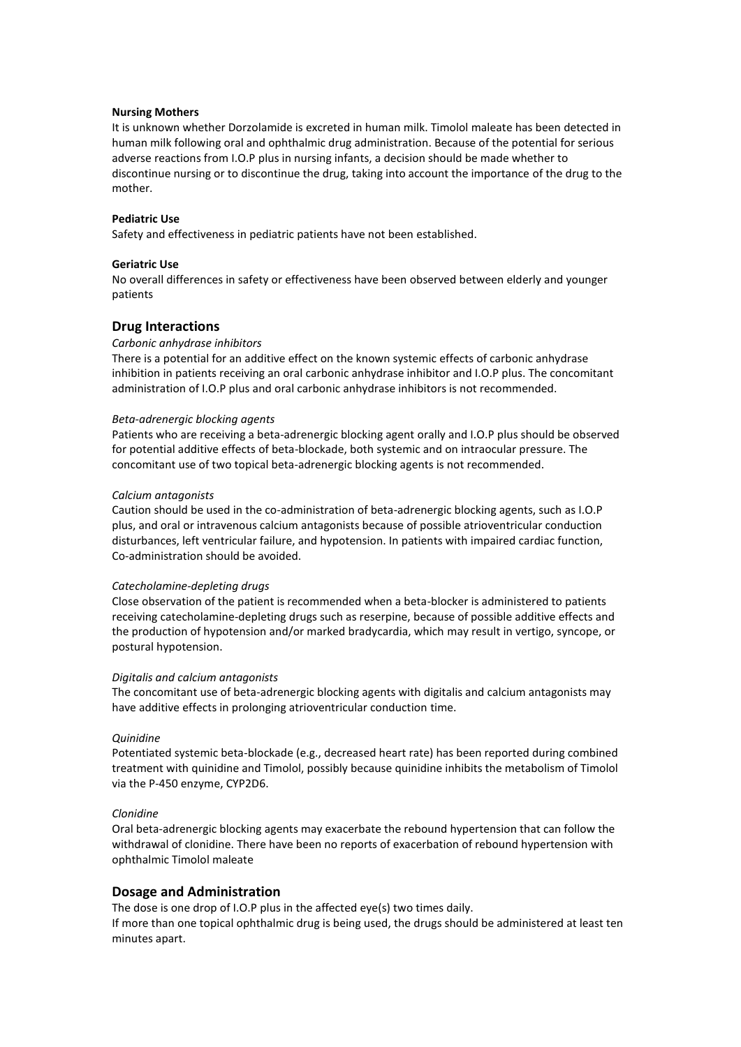#### **Nursing Mothers**

It is unknown whether Dorzolamide is excreted in human milk. Timolol maleate has been detected in human milk following oral and ophthalmic drug administration. Because of the potential for serious adverse reactions from I.O.P plus in nursing infants, a decision should be made whether to discontinue nursing or to discontinue the drug, taking into account the importance of the drug to the mother.

#### **Pediatric Use**

Safety and effectiveness in pediatric patients have not been established.

#### **Geriatric Use**

No overall differences in safety or effectiveness have been observed between elderly and younger patients

#### **Drug Interactions**

#### *Carbonic anhydrase inhibitors*

There is a potential for an additive effect on the known systemic effects of carbonic anhydrase inhibition in patients receiving an oral carbonic anhydrase inhibitor and I.O.P plus. The concomitant administration of I.O.P plus and oral carbonic anhydrase inhibitors is not recommended.

#### *Beta-adrenergic blocking agents*

Patients who are receiving a beta-adrenergic blocking agent orally and I.O.P plus should be observed for potential additive effects of beta-blockade, both systemic and on intraocular pressure. The concomitant use of two topical beta-adrenergic blocking agents is not recommended.

#### *Calcium antagonists*

Caution should be used in the co-administration of beta-adrenergic blocking agents, such as I.O.P plus, and oral or intravenous calcium antagonists because of possible atrioventricular conduction disturbances, left ventricular failure, and hypotension. In patients with impaired cardiac function, Co-administration should be avoided.

#### *Catecholamine-depleting drugs*

Close observation of the patient is recommended when a beta-blocker is administered to patients receiving catecholamine-depleting drugs such as reserpine, because of possible additive effects and the production of hypotension and/or marked bradycardia, which may result in vertigo, syncope, or postural hypotension.

#### *Digitalis and calcium antagonists*

The concomitant use of beta-adrenergic blocking agents with digitalis and calcium antagonists may have additive effects in prolonging atrioventricular conduction time.

# *Quinidine*

Potentiated systemic beta-blockade (e.g., decreased heart rate) has been reported during combined treatment with quinidine and Timolol, possibly because quinidine inhibits the metabolism of Timolol via the P-450 enzyme, CYP2D6.

#### *Clonidine*

Oral beta-adrenergic blocking agents may exacerbate the rebound hypertension that can follow the withdrawal of clonidine. There have been no reports of exacerbation of rebound hypertension with ophthalmic Timolol maleate

#### **Dosage and Administration**

The dose is one drop of I.O.P plus in the affected eye(s) two times daily.

If more than one topical ophthalmic drug is being used, the drugs should be administered at least ten minutes apart.